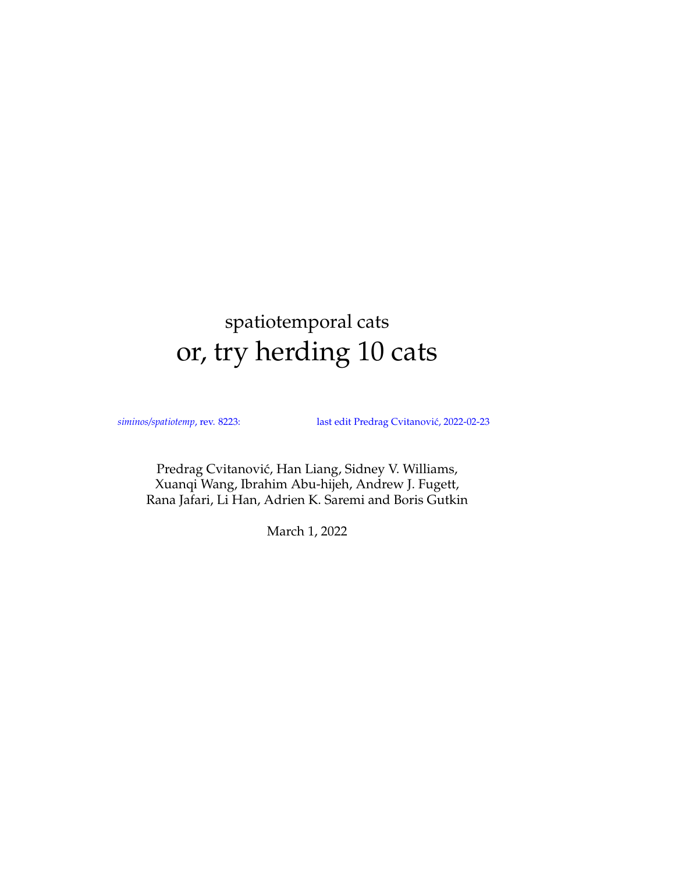# <span id="page-0-0"></span>spatiotemporal cats or, try herding 10 cats

*siminos/spatiotemp*, rev. 8223: last edit Predrag Cvitanović, 2022-02-23

Predrag Cvitanović, Han Liang, Sidney V. Williams, Xuanqi Wang, Ibrahim Abu-hijeh, Andrew J. Fugett, Rana Jafari, Li Han, Adrien K. Saremi and Boris Gutkin

March 1, 2022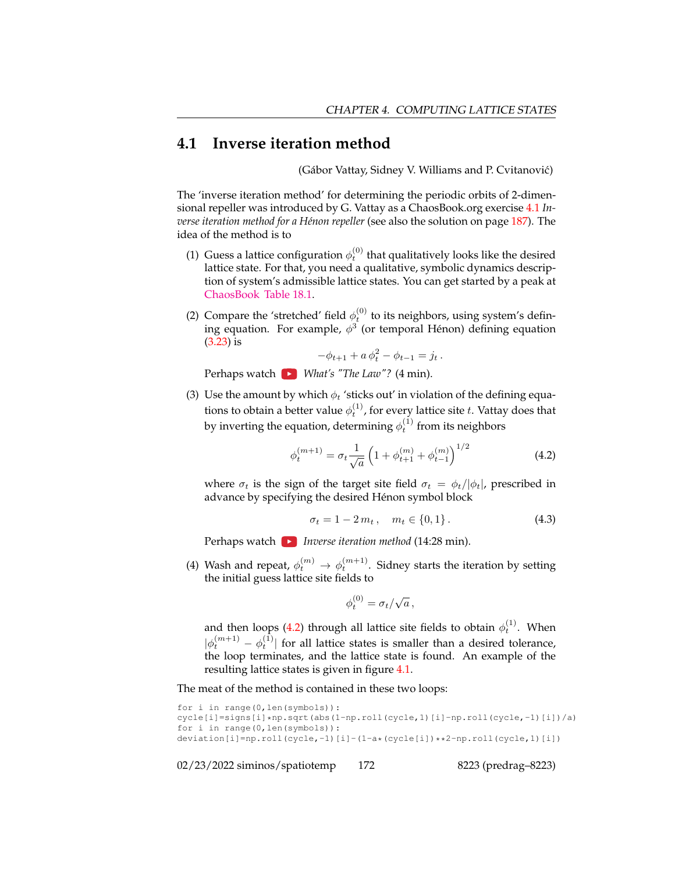## **4.1 Inverse iteration method**

(Gábor Vattay, Sidney V. Williams and P. Cvitanović)

The 'inverse iteration method' for determining the periodic orbits of 2-dimensional repeller was introduced by G. Vattay as a ChaosBook.org exercise [4.1](#page-9-0) *Inverse iteration method for a Hénon repeller* (see also the solution on page [187\)](#page-0-0). The idea of the method is to

- (1) Guess a lattice configuration  $\phi_t^{(0)}$  that qualitatively looks like the desired lattice state. For that, you need a qualitative, symbolic dynamics description of system's admissible lattice states. You can get started by a peak at [ChaosBook Table 18.1.](https://ChaosBook.org/chapters/ChaosBook.pdf#table.caption.350)
- (2) Compare the 'stretched' field  $\phi_t^{(0)}$  to its neighbors, using system's defining equation. For example,  $\phi^3$  (or temporal Hénon) defining equation (3.23) is

$$
-\phi_{t+1} + a\,\phi_t^2 - \phi_{t-1} = j_t.
$$

Perhaps watch *What's "The Law"?* (4 min).

(3) Use the amount by which  $\phi_t$  'sticks out' in violation of the defining equations to obtain a better value  $\phi_t^{(1)}$ , for every lattice site  $t.$  Vattay does that by inverting the equation, determining  $\phi_t^{(1)}$  from its neighbors

<span id="page-1-0"></span>
$$
\phi_t^{(m+1)} = \sigma_t \frac{1}{\sqrt{a}} \left( 1 + \phi_{t+1}^{(m)} + \phi_{t-1}^{(m)} \right)^{1/2} \tag{4.2}
$$

where  $\sigma_t$  is the sign of the target site field  $\sigma_t = \phi_t/|\phi_t|$ , prescribed in advance by specifying the desired Hénon symbol block

$$
\sigma_t = 1 - 2m_t, \quad m_t \in \{0, 1\}.
$$
 (4.3)

Perhaps watch *Inverse iteration method* (14:28 min).

(4) Wash and repeat,  $\phi_t^{(m)} \to \phi_t^{(m+1)}$ . Sidney starts the iteration by setting the initial guess lattice site fields to

$$
\phi_t^{(0)} = \sigma_t/\sqrt{a}\,,
$$

and then loops [\(4.2\)](#page-1-0) through all lattice site fields to obtain  $\phi_t^{(1)}$ . When  $|\phi_t^{(m+1)} - \phi_t^{(1)}|$  for all lattice states is smaller than a desired tolerance, the loop terminates, and the lattice state is found. An example of the resulting lattice states is given in figure [4.1.](#page-2-0)

The meat of the method is contained in these two loops:

```
for i in range(0,len(symbols)):
cycle[i]=signs[i]*np.sqrt(abs(1-np.roll(cycle,1)[i]-np.roll(cycle,-1)[i])/a)
for i in range(0,len(symbols)):
deviation[i]=np.roll(cycle,-1)[i]-(1-a*(cycle[i])**2-np.roll(cycle,1)[i])
```
02/23/2022 siminos/spatiotemp 172 8223 (predrag–8223)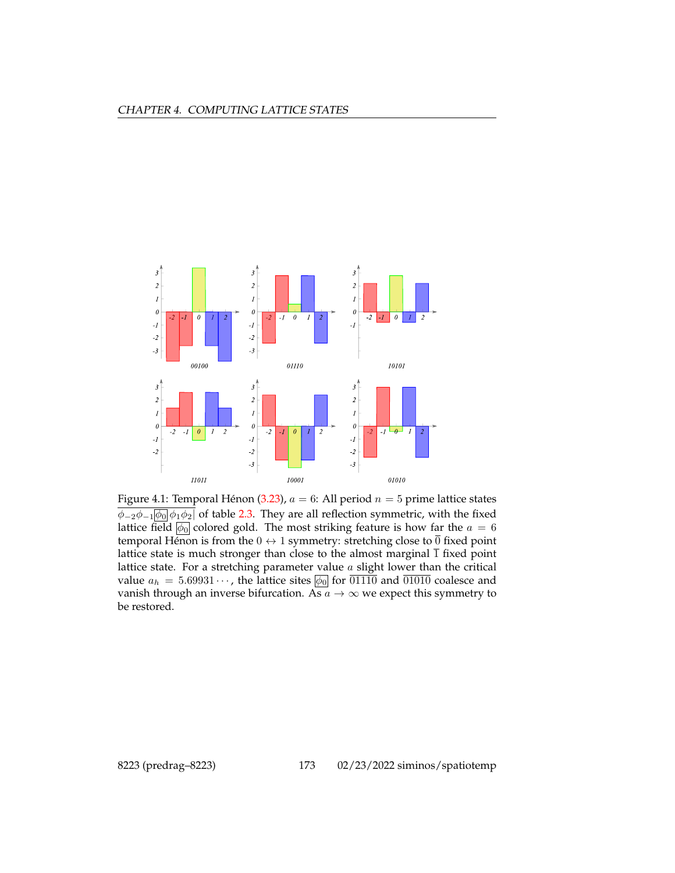<span id="page-2-0"></span>

Figure 4.1: Temporal Hénon (3.23),  $a = 6$ : All period  $n = 5$  prime lattice states  $\phi_{-2}\phi_{-1}|\phi_0|\phi_1\phi_2|$  of table 2.3. They are all reflection symmetric, with the fixed lattice field  $\phi_0$  colored gold. The most striking feature is how far the  $a = 6$ temporal Hénon is from the  $0 \leftrightarrow 1$  symmetry: stretching close to  $\overline{0}$  fixed point lattice state is much stronger than close to the almost marginal  $\overline{1}$  fixed point lattice state. For a stretching parameter value  $a$  slight lower than the critical value  $a_h = 5.69931 \cdots$ , the lattice sites  $\phi_0$  for  $\overline{01110}$  and  $\overline{01010}$  coalesce and vanish through an inverse bifurcation. As  $a \rightarrow \infty$  we expect this symmetry to be restored.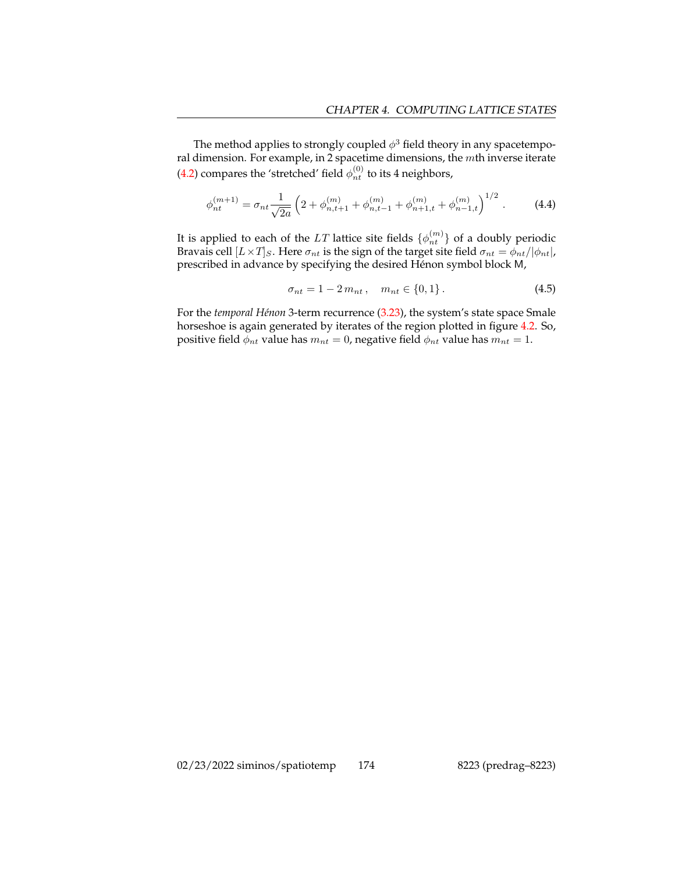The method applies to strongly coupled  $\phi^3$  field theory in any spacetemporal dimension. For example, in 2 spacetime dimensions, the mth inverse iterate [\(4.2\)](#page-1-0) compares the 'stretched' field  $\phi_{nt}^{(0)}$  to its 4 neighbors,

<span id="page-3-0"></span>
$$
\phi_{nt}^{(m+1)} = \sigma_{nt} \frac{1}{\sqrt{2a}} \left( 2 + \phi_{n,t+1}^{(m)} + \phi_{n,t-1}^{(m)} + \phi_{n+1,t}^{(m)} + \phi_{n-1,t}^{(m)} \right)^{1/2} . \tag{4.4}
$$

It is applied to each of the LT lattice site fields  $\{\phi_{nt}^{(m)}\}$  of a doubly periodic Bravais cell  $[L \times T]_S$ . Here  $\sigma_{nt}$  is the sign of the target site field  $\sigma_{nt} = \phi_{nt}/|\phi_{nt}|$ , prescribed in advance by specifying the desired Hénon symbol block M,

$$
\sigma_{nt} = 1 - 2m_{nt}, \quad m_{nt} \in \{0, 1\}.
$$
 (4.5)

For the *temporal Hénon* 3-term recurrence (3.23), the system's state space Smale horseshoe is again generated by iterates of the region plotted in figure [4.2.](#page-4-0) So, positive field  $\phi_{nt}$  value has  $m_{nt} = 0$ , negative field  $\phi_{nt}$  value has  $m_{nt} = 1$ .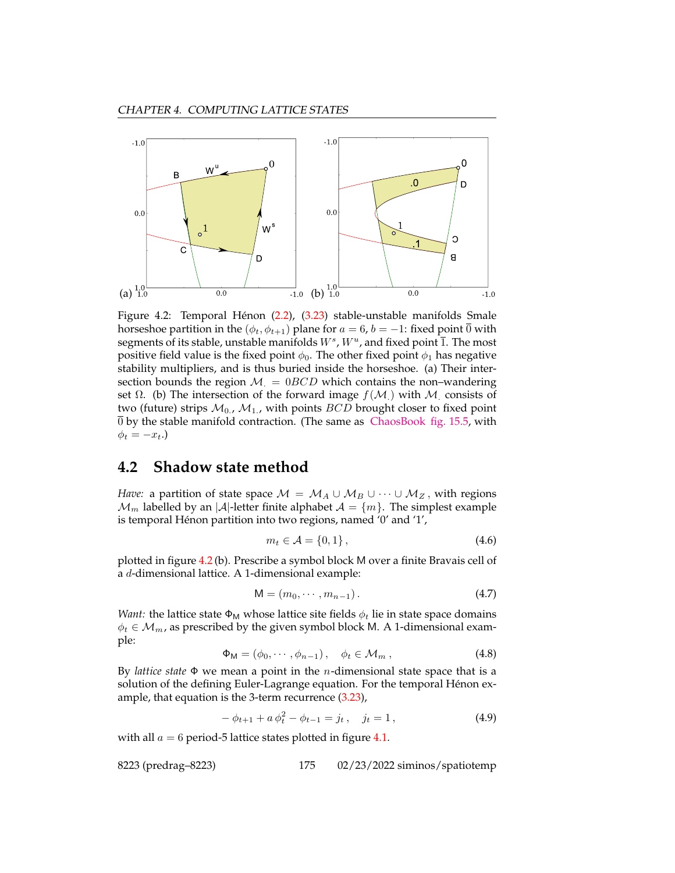<span id="page-4-0"></span>

Figure 4.2: Temporal Hénon (2.2), (3.23) stable-unstable manifolds Smale horseshoe partition in the ( $\phi_t$ ,  $\phi_{t+1}$ ) plane for  $a = 6$ ,  $b = -1$ : fixed point  $\overline{0}$  with segments of its stable, unstable manifolds  $W^s$  ,  $W^u$  , and fixed point  $\overline{1}$ . The most positive field value is the fixed point  $\phi_0$ . The other fixed point  $\phi_1$  has negative stability multipliers, and is thus buried inside the horseshoe. (a) Their intersection bounds the region  $M = 0BCD$  which contains the non–wandering set  $\Omega$ . (b) The intersection of the forward image  $f(M)$  with M consists of two (future) strips  $M_0$ ,  $M_1$ , with points  $BCD$  brought closer to fixed point 0 by the stable manifold contraction. (The same as [ChaosBook fig. 15.5,](https://ChaosBook.org/chapters/ChaosBook.pdf#figure.caption.297) with  $\phi_t = -x_t.$ 

## **4.2 Shadow state method**

*Have:* a partition of state space  $M = M_A \cup M_B \cup \cdots \cup M_Z$ , with regions  $\mathcal{M}_m$  labelled by an |A|-letter finite alphabet  $\mathcal{A} = \{m\}$ . The simplest example is temporal Hénon partition into two regions, named '0' and '1',

<span id="page-4-1"></span>
$$
m_t \in \mathcal{A} = \{0, 1\},\tag{4.6}
$$

plotted in figure [4.2](#page-4-0) (b). Prescribe a symbol block M over a finite Bravais cell of a d-dimensional lattice. A 1-dimensional example:

$$
\mathsf{M} = (m_0, \cdots, m_{n-1}).\tag{4.7}
$$

*Want:* the lattice state  $\Phi_M$  whose lattice site fields  $\phi_t$  lie in state space domains  $\phi_t \in \mathcal{M}_{m}$ , as prescribed by the given symbol block M. A 1-dimensional example:

$$
\Phi_{\mathsf{M}} = (\phi_0, \cdots, \phi_{n-1}), \quad \phi_t \in \mathcal{M}_m, \qquad (4.8)
$$

By *lattice state* Φ we mean a point in the n-dimensional state space that is a solution of the defining Euler-Lagrange equation. For the temporal Hénon example, that equation is the 3-term recurrence (3.23),

<span id="page-4-2"></span>
$$
-\phi_{t+1} + a\,\phi_t^2 - \phi_{t-1} = j_t\,, \quad j_t = 1\,,\tag{4.9}
$$

with all  $a = 6$  period-5 lattice states plotted in figure [4.1.](#page-2-0)

8223 (predrag–8223) 175 02/23/2022 siminos/spatiotemp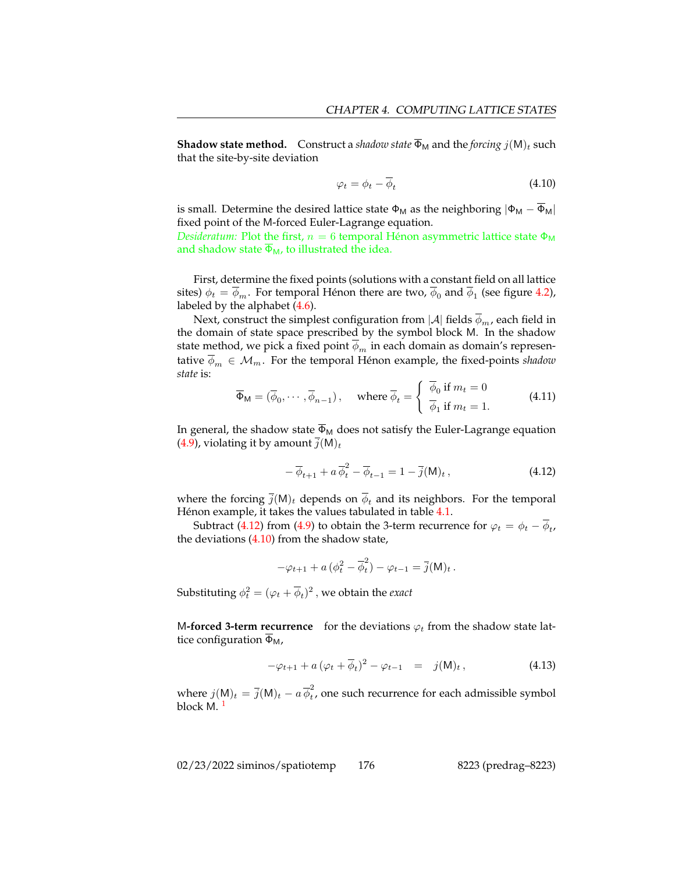**Shadow state method.** Construct a *shadow state*  $\overline{\Phi}_{M}$  and the *forcing*  $j(M)_t$  such that the site-by-site deviation

<span id="page-5-1"></span>
$$
\varphi_t = \phi_t - \overline{\phi}_t \tag{4.10}
$$

is small. Determine the desired lattice state  $\Phi_M$  as the neighboring  $|\Phi_M - \overline{\Phi}_M|$ fixed point of the M-forced Euler-Lagrange equation.

*Desideratum:* Plot the first,  $n = 6$  temporal Hénon asymmetric lattice state  $\Phi_M$ and shadow state  $\overline{\Phi}_{M}$ , to illustrated the idea.

First, determine the fixed points (solutions with a constant field on all lattice sites)  $\phi_t = \phi_m$ . For temporal Hénon there are two,  $\phi_0$  and  $\phi_1$  (see figure [4.2\)](#page-4-0), labeled by the alphabet [\(4.6\)](#page-4-1).

Next, construct the simplest configuration from  $|\mathcal{A}|$  fields  $\overline{\phi}_m$ , each field in the domain of state space prescribed by the symbol block M. In the shadow state method, we pick a fixed point  $\phi_m$  in each domain as domain's representative  $\phi_m \in \mathcal{M}_m$ . For the temporal Hénon example, the fixed-points *shadow state* is:

$$
\overline{\Phi}_{\mathsf{M}} = (\overline{\phi}_0, \cdots, \overline{\phi}_{n-1}), \quad \text{where } \overline{\phi}_t = \begin{cases} \overline{\phi}_0 \text{ if } m_t = 0 \\ \overline{\phi}_1 \text{ if } m_t = 1. \end{cases} \tag{4.11}
$$

In general, the shadow state  $\overline{\Phi}_{M}$  does not satisfy the Euler-Lagrange equation [\(4.9\)](#page-4-2), violating it by amount  $\overline{j}(M)_t$ 

<span id="page-5-0"></span>
$$
-\overline{\phi}_{t+1} + a\overline{\phi}_t^2 - \overline{\phi}_{t-1} = 1 - \overline{j}(\mathsf{M})_t , \qquad (4.12)
$$

where the forcing  $\overline{j}(M)_t$  depends on  $\overline{\phi}_t$  and its neighbors. For the temporal Hénon example, it takes the values tabulated in table [4.1.](#page-6-0)

Subtract [\(4.12\)](#page-5-0) from [\(4.9\)](#page-4-2) to obtain the 3-term recurrence for  $\varphi_t = \phi_t - \phi_t$ , the deviations  $(4.10)$  from the shadow state,

$$
-\varphi_{t+1} + a\left(\phi_t^2 - \overline{\phi}_t^2\right) - \varphi_{t-1} = \overline{j}(\mathsf{M})_t.
$$

Substituting  $\phi_t^2 = (\varphi_t + \overline{\phi}_t)^2$ , we obtain the *exact* 

M-forced 3-term recurrence for the deviations  $\varphi_t$  from the shadow state lattice configuration  $\overline{\Phi}_{\mathsf{M}}$ ,

<span id="page-5-3"></span>
$$
-\varphi_{t+1} + a\left(\varphi_t + \overline{\phi}_t\right)^2 - \varphi_{t-1} = j(M)_t, \qquad (4.13)
$$

<span id="page-5-2"></span>where  $j(M)_t = \overline{j}(M)_t - a \overline{\phi}_t^2$  $\tau_t$ , one such recurrence for each admissible symbol block M. [1](#page-5-2)

02/23/2022 siminos/spatiotemp 176 8223 (predrag–8223)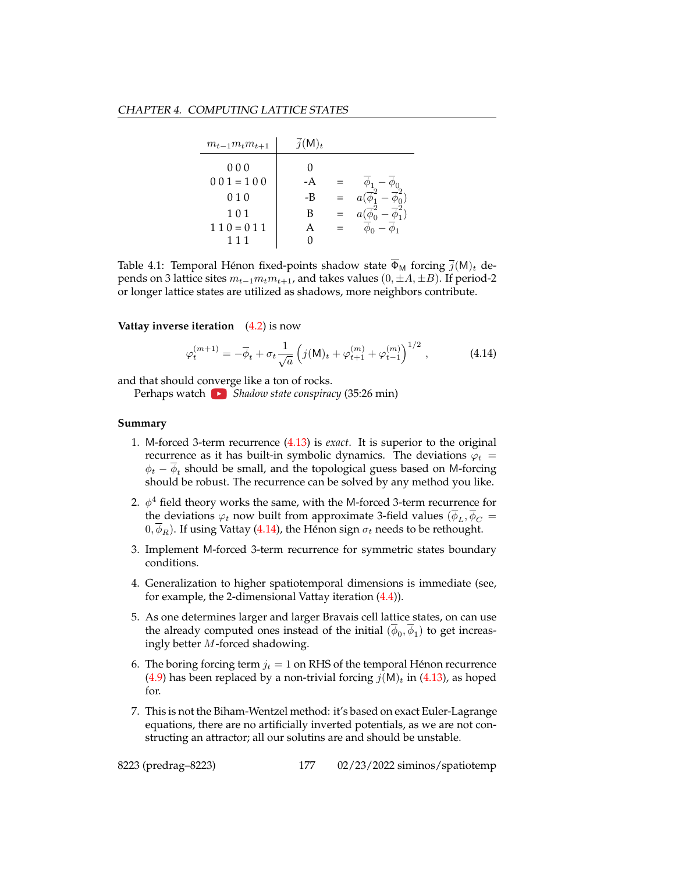<span id="page-6-0"></span>

| $m_{t-1}m_t m_{t+1}$ | $\overline{j}(\mathsf{M})_t$ |  |
|----------------------|------------------------------|--|
| 000                  |                              |  |
| $001 = 100$          | -A                           |  |
| 010                  | -B                           |  |
| 101                  | В                            |  |
| $110 = 011$          |                              |  |
| 111                  |                              |  |

Table 4.1: Temporal Hénon fixed-points shadow state  $\overline{\Phi}_{M}$  forcing  $\overline{j}(M)_{t}$  depends on 3 lattice sites  $m_{t-1}m_t m_{t+1}$ , and takes values  $(0, \pm A, \pm B)$ . If period-2 or longer lattice states are utilized as shadows, more neighbors contribute.

#### **Vattay inverse iteration** [\(4.2\)](#page-1-0) is now

<span id="page-6-1"></span>
$$
\varphi_t^{(m+1)} = -\overline{\phi}_t + \sigma_t \frac{1}{\sqrt{a}} \left( j(M)_t + \varphi_{t+1}^{(m)} + \varphi_{t-1}^{(m)} \right)^{1/2}, \tag{4.14}
$$

and that should co[nver](https://YouTube.com/embed/JAvOcKjGTVM)ge like a ton of rocks.

Perhaps watch **B** Shadow state conspiracy (35:26 min)

#### **Summary**

- 1. M-forced 3-term recurrence [\(4.13\)](#page-5-3) is *exact*. It is superior to the original recurrence as it has built-in symbolic dynamics. The deviations  $\varphi_t$  =  $\phi_t - \phi_t$  should be small, and the topological guess based on M-forcing should be robust. The recurrence can be solved by any method you like.
- 2.  $\phi^4$  field theory works the same, with the M-forced 3-term recurrence for the deviations  $\varphi_t$  now built from approximate 3-field values  $(\overline{\phi}_L, \overline{\phi}_C =$  $(0, \phi_R)$ . If using Vattay [\(4.14\)](#page-6-1), the Hénon sign  $\sigma_t$  needs to be rethought.
- 3. Implement M-forced 3-term recurrence for symmetric states boundary conditions.
- 4. Generalization to higher spatiotemporal dimensions is immediate (see, for example, the 2-dimensional Vattay iteration [\(4.4\)](#page-3-0)).
- 5. As one determines larger and larger Bravais cell lattice states, on can use the already computed ones instead of the initial  $(\phi_0, \phi_1)$  to get increasingly better M-forced shadowing.
- 6. The boring forcing term  $j_t = 1$  on RHS of the temporal Hénon recurrence [\(4.9\)](#page-4-2) has been replaced by a non-trivial forcing  $j(M)_t$  in [\(4.13\)](#page-5-3), as hoped for.
- 7. This is not the Biham-Wentzel method: it's based on exact Euler-Lagrange equations, there are no artificially inverted potentials, as we are not constructing an attractor; all our solutins are and should be unstable.

8223 (predrag–8223) 177 02/23/2022 siminos/spatiotemp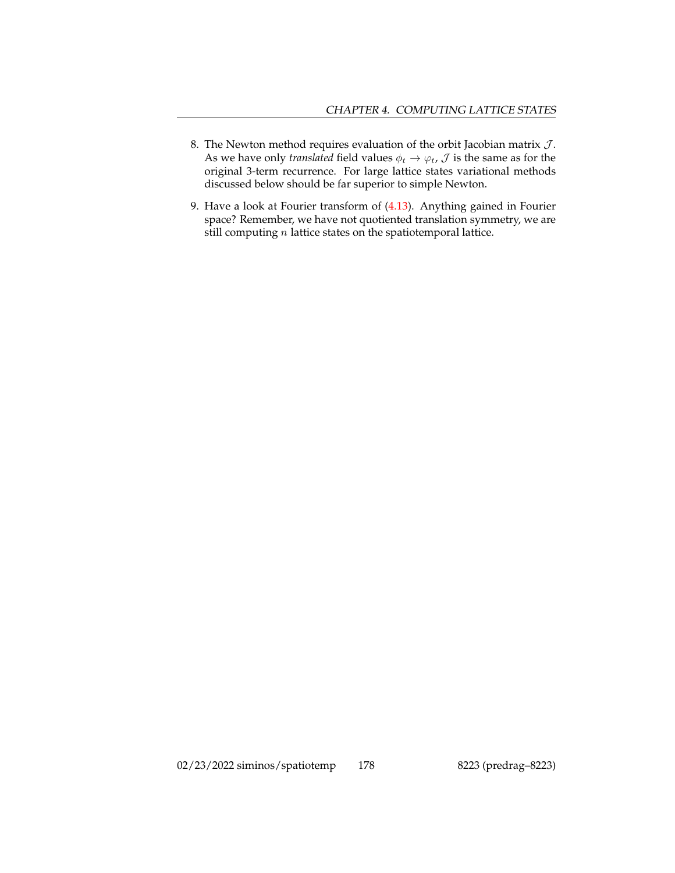- 8. The Newton method requires evaluation of the orbit Jacobian matrix  $J$ . As we have only *translated* field values  $\phi_t \rightarrow \varphi_t$ ,  $\mathcal{J}$  is the same as for the original 3-term recurrence. For large lattice states variational methods discussed below should be far superior to simple Newton.
- 9. Have a look at Fourier transform of [\(4.13\)](#page-5-3). Anything gained in Fourier space? Remember, we have not quotiented translation symmetry, we are still computing  $n$  lattice states on the spatiotemporal lattice.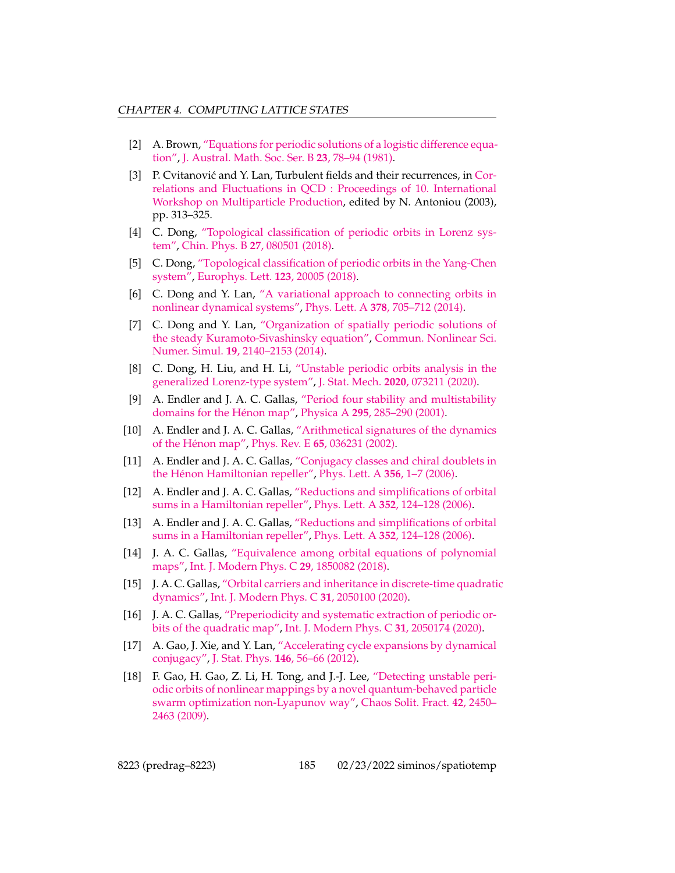- [2] A. Brown, ["Equations for periodic solutions of a logistic difference equa](http://dx.doi.org/10.1017/S0334270000000072)[tion",](http://dx.doi.org/10.1017/S0334270000000072) [J. Austral. Math. Soc. Ser. B](http://dx.doi.org/10.1017/S0334270000000072) **23**, 78–94 (1981).
- [3] P. Cvitanović and Y. Lan, Turbulent fields and their recurrences, in [Cor](http://dx.doi.org/10.1142/9789812704641_0032)[relations and Fluctuations in QCD : Proceedings of 10. International](http://dx.doi.org/10.1142/9789812704641_0032) [Workshop on Multiparticle Production,](http://dx.doi.org/10.1142/9789812704641_0032) edited by N. Antoniou (2003), pp. 313–325.
- [4] C. Dong, ["Topological classification of periodic orbits in Lorenz sys](http://dx.doi.org/10.1088/1674-1056/27/8/080501)[tem",](http://dx.doi.org/10.1088/1674-1056/27/8/080501) Chin. Phys. B **27**[, 080501 \(2018\).](http://dx.doi.org/10.1088/1674-1056/27/8/080501)
- [5] C. Dong, ["Topological classification of periodic orbits in the Yang-Chen](http://dx.doi.org/10.1209/0295-5075/123/20005) [system",](http://dx.doi.org/10.1209/0295-5075/123/20005) [Europhys. Lett.](http://dx.doi.org/10.1209/0295-5075/123/20005) **123**, 20005 (2018).
- [6] C. Dong and Y. Lan, ["A variational approach to connecting orbits in](http://dx.doi.org/10.1016/j.physleta.2014.01.001) [nonlinear dynamical systems",](http://dx.doi.org/10.1016/j.physleta.2014.01.001) Phys. Lett. A **378**[, 705–712 \(2014\).](http://dx.doi.org/10.1016/j.physleta.2014.01.001)
- [7] C. Dong and Y. Lan, ["Organization of spatially periodic solutions of](http://dx.doi.org/10.1016/j.cnsns.2013.09.040) [the steady Kuramoto-Sivashinsky equation",](http://dx.doi.org/10.1016/j.cnsns.2013.09.040) [Commun. Nonlinear Sci.](http://dx.doi.org/10.1016/j.cnsns.2013.09.040) Numer. Simul. **19**[, 2140–2153 \(2014\).](http://dx.doi.org/10.1016/j.cnsns.2013.09.040)
- [8] C. Dong, H. Liu, and H. Li, ["Unstable periodic orbits analysis in the](http://dx.doi.org/10.1088/1742-5468/ab9e5f) [generalized Lorenz-type system",](http://dx.doi.org/10.1088/1742-5468/ab9e5f) J. Stat. Mech. **2020**[, 073211 \(2020\).](http://dx.doi.org/10.1088/1742-5468/ab9e5f)
- [9] A. Endler and J. A. C. Gallas, ["Period four stability and multistability](http://dx.doi.org/10.1016/s0378-4371(01)00089-9) [domains for the Hénon map",](http://dx.doi.org/10.1016/s0378-4371(01)00089-9) Physica A **295**[, 285–290 \(2001\).](http://dx.doi.org/10.1016/s0378-4371(01)00089-9)
- [10] A. Endler and J. A. C. Gallas, ["Arithmetical signatures of the dynamics](http://dx.doi.org/10.1103/physreve.65.036231) [of the Hénon map",](http://dx.doi.org/10.1103/physreve.65.036231) Phys. Rev. E **65**[, 036231 \(2002\).](http://dx.doi.org/10.1103/physreve.65.036231)
- [11] A. Endler and J. A. C. Gallas, ["Conjugacy classes and chiral doublets in](http://dx.doi.org/10.1016/j.physleta.2006.04.042) [the Hénon Hamiltonian repeller",](http://dx.doi.org/10.1016/j.physleta.2006.04.042) [Phys. Lett. A](http://dx.doi.org/10.1016/j.physleta.2006.04.042) **356**, 1–7 (2006).
- [12] A. Endler and J. A. C. Gallas, ["Reductions and simplifications of orbital](http://dx.doi.org/10.1016/j.physleta.2006.01.031) [sums in a Hamiltonian repeller",](http://dx.doi.org/10.1016/j.physleta.2006.01.031) Phys. Lett. A **352**[, 124–128 \(2006\).](http://dx.doi.org/10.1016/j.physleta.2006.01.031)
- [13] A. Endler and J. A. C. Gallas, ["Reductions and simplifications of orbital](http://dx.doi.org/10.1016/j.physleta.2006.01.031) [sums in a Hamiltonian repeller",](http://dx.doi.org/10.1016/j.physleta.2006.01.031) Phys. Lett. A **352**[, 124–128 \(2006\).](http://dx.doi.org/10.1016/j.physleta.2006.01.031)
- [14] J. A. C. Gallas, ["Equivalence among orbital equations of polynomial](http://dx.doi.org/10.1142/s0129183118500821) [maps",](http://dx.doi.org/10.1142/s0129183118500821) [Int. J. Modern Phys. C](http://dx.doi.org/10.1142/s0129183118500821) **29**, 1850082 (2018).
- [15] J. A. C. Gallas, ["Orbital carriers and inheritance in discrete-time quadrati](http://dx.doi.org/10.1142/s0129183120501004)c [dynamics",](http://dx.doi.org/10.1142/s0129183120501004) [Int. J. Modern Phys. C](http://dx.doi.org/10.1142/s0129183120501004) **31**, 2050100 (2020).
- [16] J. A. C. Gallas, ["Preperiodicity and systematic extraction of periodic or](http://dx.doi.org/10.1142/s0129183120501740)[bits of the quadratic map",](http://dx.doi.org/10.1142/s0129183120501740) [Int. J. Modern Phys. C](http://dx.doi.org/10.1142/s0129183120501740) **31**, 2050174 (2020).
- [17] A. Gao, J. Xie, and Y. Lan, ["Accelerating cycle expansions by dynamical](http://dx.doi.org/10.1007/s10955-011-0369-6) [conjugacy",](http://dx.doi.org/10.1007/s10955-011-0369-6) J. Stat. Phys. **146**[, 56–66 \(2012\).](http://dx.doi.org/10.1007/s10955-011-0369-6)
- [18] F. Gao, H. Gao, Z. Li, H. Tong, and J.-J. Lee, ["Detecting unstable peri](http://dx.doi.org/10.1016/j.chaos.2009.03.119)[odic orbits of nonlinear mappings by a novel quantum-behaved particle](http://dx.doi.org/10.1016/j.chaos.2009.03.119) [swarm optimization non-Lyapunov way",](http://dx.doi.org/10.1016/j.chaos.2009.03.119) [Chaos Solit. Fract.](http://dx.doi.org/10.1016/j.chaos.2009.03.119) **42**, 2450– [2463 \(2009\).](http://dx.doi.org/10.1016/j.chaos.2009.03.119)

8223 (predrag–8223) 185 02/23/2022 siminos/spatiotemp